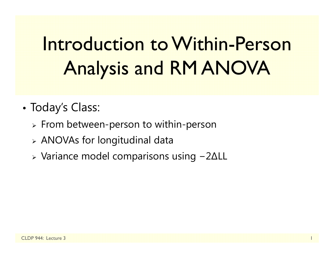# Introduction to Within-Person Analysis and RM ANOVA

- • Today's Class:
	- $\triangleright$  From between-person to within-person
	- ANOVAs for longitudinal data
	- $\triangleright$  Variance model comparisons using − 2 ∆LL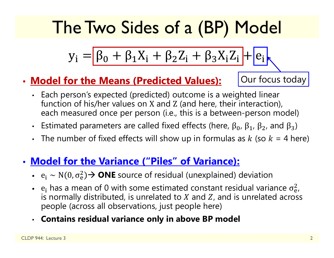## The Two Sides of a (BP) Model

$$
y_i = \boxed{\beta_0 + \beta_1 X_i + \beta_2 Z_i + \beta_3 X_i Z_i} + \boxed{e_i}
$$

### • **Model for the Means (Predicted Values):**

Our focus today

- Each person's expected (predicted) outcome is a weighted linear function of his/her values on X and Z (and here, their interaction), each measured once per person (i.e., this is a between-person model)
- Estimated parameters are called fixed effects (here,  $β_0$ ,  $β_1$ ,  $β_2$ , and  $β_3$ )
- The number of fixed effects will show up in formulas as  $k$  (so  $k$  = 4 here)

### • **Model for the Variance ("Piles" of Variance):**

- $e_i \sim N(0, \sigma_e^2)$ <sup>2</sup> a → **ONE** source of residual (unexplained) deviation
- $e_i$  has a mean of 0 with some estimated constant residual variance  $\sigma_{\rm e}^2$ is normally distributed, is unrelated to  $X$  and  $Z$ , and is unrelated across 2<br>e/ people (across all observations, just people here)
- **Contains residual variance only in above BP model**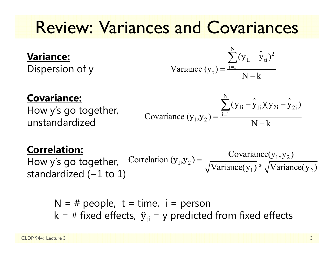## Review: Variances and Covariances

#### **Variance:**

Dispersion of y

Variance 
$$
(y_t) = \frac{\sum_{i=1}^{N} (y_{ti} - \hat{y}_{ti})^2}{N - k}
$$

#### **Covariance:**

How y's go together, unstandardized

Covariance 
$$
(y_1, y_2) = \frac{\sum_{i=1}^{N} (y_{1i} - \hat{y}_{1i})(y_{2i} - \hat{y}_{2i})}{N - k}
$$

#### **Correlation:**

How y's go together, standardized ( <sup>−</sup>1 to 1)  $_1$ ,  $y_2$ ) =  $\frac{\text{covariance}(y_1, y_2)}{\sqrt{x_1 + \cdots + x_n}}$  $\text{Correlation } (y_1, y_2) = \frac{\text{Covariance}(y_1, y_2)}{\sqrt{\text{Variance}(y_1)} * \sqrt{\text{Variance}(y_2)}}$ ═

N = # people, t = time, i = person  
k = # fixed effects, 
$$
\hat{y}_{ti}
$$
 = y predicted from fixed effects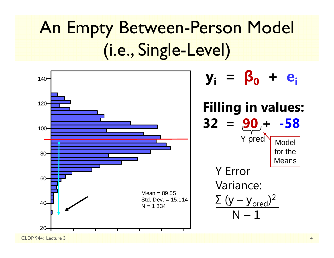## An Empty Between-Person Model (i.e., Single-Level)



CLDP 944: Lecture 3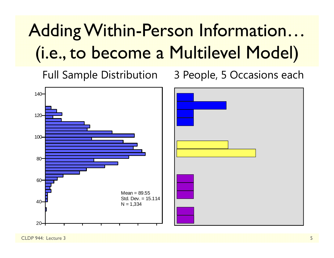# Adding Within-Person Information… (i.e., to become a Multilevel Model)

Full Sample Distribution 3 People, 5 Occasions each



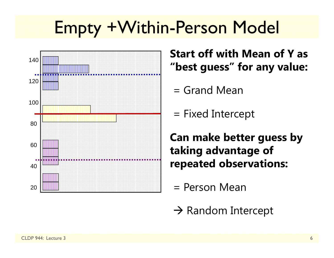## Empty +Within-Person Model



**Start off with Mean of Y as "best guess" for any value:**

- = Grand Mean
- = Fixed Intercept

**Can make better guess by taking advantage of repeated observations:**

- = Person Mean
- $\rightarrow$  Random Intercept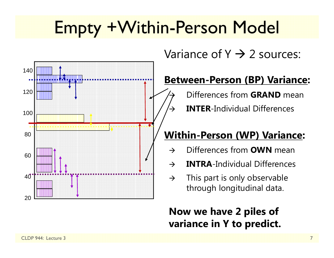## Empty +Within-Person Model

 $\rightarrow$ 

 $\rightarrow$ 



### Variance of Y  $\rightarrow$  2 sources:

### **Between-Person (BP) Variance:**

Differences from **GRAND** mean

**INTER**-Individual Differences

### **Within-Person (WP) Variance:**

- $\rightarrow$ Differences from **OWN** mean
- $\rightarrow$ **INTRA**-Individual Differences
- $\rightarrow$  This part is only observable through longitudinal data.

### **Now we have 2 piles of variance in Y to predict.**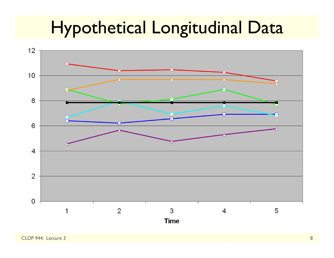## Hypothetical Longitudinal Data

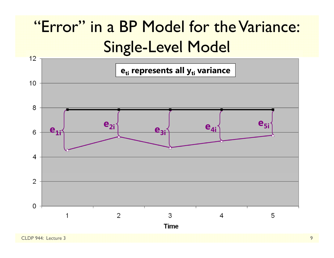### "Error" in a BP Model for the Variance: Single-Level Model

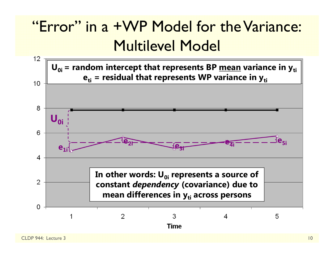### "Error" in a +WP Model for the Variance: Multilevel Model

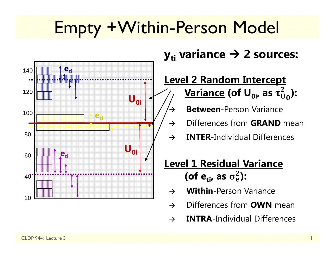## Empty +Within-Person Model

 $\rightarrow$ 



### $\mathbf{y}_{\mathsf{ti}}$  variance  $\boldsymbol{\rightarrow}$  2 sources:

#### **Level 2 Random Intercept <u>Variance</u> (of U<sub>0i</sub>, as τ** $_0^2$ **):**

- **Between**-Person Variance
- $\rightarrow$ Differences from **GRAND** mean
- $\rightarrow$ **INTER**-Individual Differences

### **Level 1 Residual Variance** (of e<sub>ti</sub>, as  $\sigma_{\rm e}^2$ ):

- $\rightarrow$ **Within**-Person Variance
- $\rightarrow$ Differences from **OWN** mean
- $\rightarrow$ **INTRA**-Individual Differences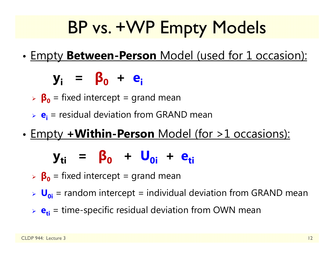## BP vs. +WP Empty Models

•Empty **Between-Person** Model (used for 1 occasion):

**yi <sup>=</sup> β 0 <sup>+</sup> ei**

- **β 0** = fixed intercept = grand mean
- **e**<sub>i</sub> = residual deviation from GRAND mean
- •Empty **+Within-Person** Model (for >1 occasions):

### **yti <sup>=</sup> β 0 <sup>+</sup> U0i+ eti**

- **β 0** = fixed intercept = grand mean
- **U**<sub>oi</sub> = random intercept = individual deviation from GRAND mean
- **e**<sub>ti</sub> = time-specific residual deviation from OWN mean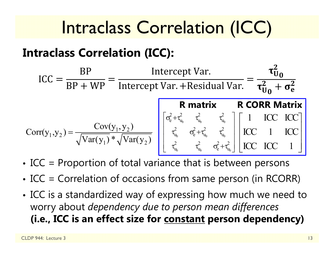## Intraclass Correlation (ICC)

### **Intraclass Correlation (ICC):**

$$
ICC = \frac{BP}{BP + WP} = \frac{Intercept Var.}{Intercept Var + Residual Var.} = \frac{\tau_{U_0}^2}{\tau_{U_0}^2 + \sigma_e^2}
$$

$$
Corr(y_1, y_2) = \frac{Cov(y_1, y_2)}{\sqrt{Var(y_1)} * \sqrt{Var(y_2)}} \begin{bmatrix} \sigma_e^2 + \tau_{u_0}^2 & \tau_{u_0}^2 & \tau_{u_0}^2 \\ \tau_{u_0}^2 & \sigma_e^2 + \tau_{u_0}^2 & \tau_{u_0}^2 \end{bmatrix} \begin{bmatrix} 1 & ICC & ICC \\ ICC & I & ICC \\ ICC & I & ICC \\ ICC & ICC & I \end{bmatrix}
$$

- •ICC = Proportion of total variance that is between persons
- •• ICC = Correlation of occasions from same person (in RCORR)
- • ICC is a standardized way of expressing how much we need to worry about *dependency due to person mean differences* **(i.e., ICC is an effect size for constant person dependency)**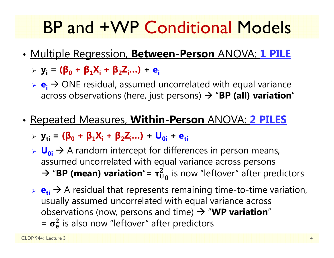## BP and +WP Conditional Models

- • Multiple Regression, **Between-Person** ANOVA: **1 PILE**
	- **yi = (β<sup>0</sup> <sup>+</sup>β1Xi <sup>+</sup>β2Zi…) + ei**
	- **► e<sub>i</sub>** → ONE residual, assumed uncorrelated with equal variance across observations (here, just persons)  $\rightarrow$  "**BP (all) variation**"
- • Repeated Measures, **Within-Person** ANOVA: **2 PILES**
	- **yti = (β<sup>0</sup> <sup>+</sup>β1Xi <sup>+</sup>β2Zi…) + U0i + eti**
	- **► U<sub>0i</sub>** → A random intercept for differences in person means, assumed uncorrelated with equal variance across persons  $\rightarrow$  "**BP (mean) variation**"=  $\tau_{U_0}^2$  is now "leftover" after predictors
	- $\triangleright$   $\mathbf{e}_{\mathbf{t}} \rightarrow$  A residual that represents remaining time-to-time variation, usually assumed uncorrelated with equal variance across observations (now, persons and time)  $\rightarrow$  "WP variation"  $= \sigma_e^2$  is also now "leftover" after predictors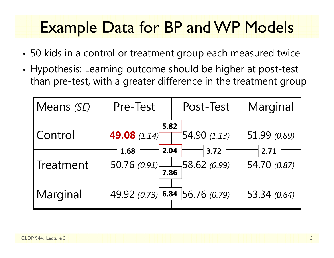### Example Data for BP and WP Models

- 50 kids in a control or treatment group each measured twice
- Hypothesis: Learning outcome should be higher at post-test than pre-test, with a greater difference in the treatment group

| Means (SE) | Pre-Test<br>Post-Test                         |                | Marginal             |
|------------|-----------------------------------------------|----------------|----------------------|
| Control    | 5.82<br>49.08 (1.14)                          | $-54.90(1.13)$ | 51.99 (0.89)         |
| Treatment  | 2.04<br>1.68<br>50.76 $(0.91)$ 58.62 $(0.99)$ | 3.72           | 2.71<br>54.70 (0.87) |
| Marginal   | 49.92 (0.73) 6.84 56.76 (0.79)                |                | 53.34 (0.64)         |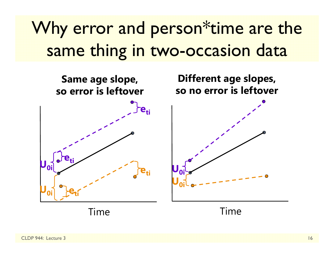## Why error and person<sup>\*</sup>time are the same thing in two-occasion data

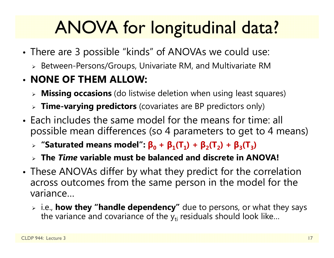## ANOVA for longitudinal data?

- • There are 3 possible "kinds" of ANOVAs we could use:
	- $\triangleright$  Between-Persons/Groups, Univariate RM, and Multivariate RM

### • **NONE OF THEM ALLOW:**

- **Missing occasions** (do listwise deletion when using least squares)
- **Time-varying predictors** (covariates are BP predictors only)
- Each includes the same model for the means for time: all possible mean differences (so 4 parameters to get to 4 means)
	- $\triangleright$  "Saturated means model":  $\beta_0 + \beta_1(T_1) + \beta_2(T_2) + \beta_3(T_3)$
	- **The** *Time* **variable must be balanced and discrete in ANOVA!**
- • These ANOVAs differ by what they predict for the correlation across outcomes from the same person in the model for the variance…
	- i.e., **how they "handle dependency"** due to persons, or what they says the variance and covariance of the  $\mathsf{y}_{\mathsf{t}\mathsf{i}}$  residuals should look like…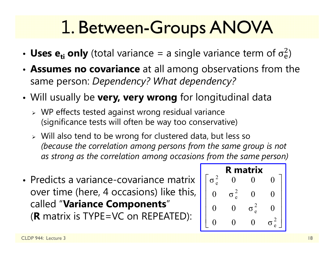## 1. Between-Groups ANOVA

- Uses  $e_{ti}$  only (total variance = a single variance term of  $\sigma_e^2$ )
- • **Assumes no covariance** at all among observations from the same person: *Dependency? What dependency?*
- • Will usually be **very, very wrong** for longitudinal data
	- WP effects tested against wrong residual variance (significance tests will often be way too conservative)
	- Will also tend to be wrong for clustered data, but less so *(because the correlation among persons from the same group is not as strong as the correlation among occasions from the same person)*
- Predicts a variance-covariance matrix over time (here, 4 occasions) like this, called "**Variance Components**" (**R** matrix is TYPE=VC on REPEATED):

| <b>R</b> matrix |               |        |                              |              |
|-----------------|---------------|--------|------------------------------|--------------|
|                 | $\frac{2}{e}$ |        |                              | 1            |
|                 |               | 2<br>e | U                            | $\mathbf{I}$ |
|                 | ( )           | ( )    | $\overline{\mathbf{c}}$<br>e |              |
|                 |               |        |                              |              |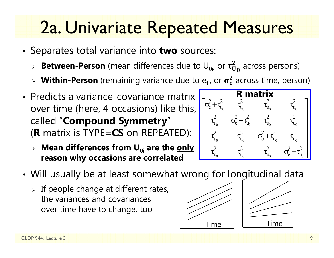## 2a. Univariate Repeated Measures

- Separates total variance into **two** sources:
	- $\triangleright$  **Between-Person** (mean differences due to  $\mathsf{U}_{0i}$ , or  $\boldsymbol{\tau}_{\mathbf{U}}^2$  $^2_{{\mathbf{U}} {\mathbf{0}}}$  across persons)
	- $\triangleright$  Within-Person (remaining variance due to  $e_{ti'}$  or  $\sigma_e^2$  $_{\rm e}^2$  across time, person)
- Predicts a variance-covariance matrix over time (here, 4 occasions) like this, called "**Compound Symmetry** "( **R** matrix is TYPE=**CS** on REPEATED):
	- **Mean differences from U0i are the only reason why occasions are correlated**



- • Will usually be at least somewhat wrong for longitudinal data
	- $\triangleright$  If people change at different rates, the variances and covariances over time have to change, too



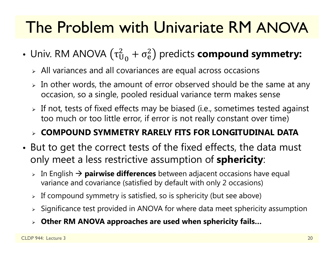### The Problem with Univariate RM ANOVA

- Univ. RM ANOVA  $(\tau^2_{\mathrm{U}}$  $^2_{\mathrm{U}_0} + \sigma^2_{\mathrm{e}}$  $^{2}_{\text{e}}$ ) predicts **compound symmetry:** 
	- $\triangleright$  All variances and all covariances are equal across occasions
	- $\triangleright$  In other words, the amount of error observed should be the same at any occasion, so a single, pooled residual variance term makes sense
	- $\triangleright$  If not, tests of fixed effects may be biased (i.e., sometimes tested against too much or too little error, if error is not really constant over time)

#### **COMPOUND SYMMETRY RARELY FITS FOR LONGITUDINAL DATA**

- • But to get the correct tests of the fixed effects, the data must only meet a less restrictive assumption of **sphericity**:
	- **⊳** In English → **pairwise differences** between adjacent occasions have equal variance and covariance (satisfied by default with only 2 occasions)
	- $\triangleright$  If compound symmetry is satisfied, so is sphericity (but see above)
	- $\triangleright$  Significance test provided in ANOVA for where data meet sphericity assumption
	- **Other RM ANOVA approaches are used when sphericity fails…**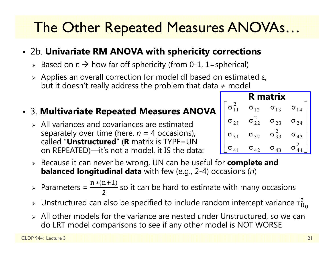### The Other Repeated Measures ANOVAs…

#### • 2b. **Univariate RM ANOVA with sphericity corrections**

- > Based on ε  $\rightarrow$  how far off sphericity (from 0-1, 1=spherical)
- $\triangleright$  Applies an overall correction for model df based on estimated ε, but it doesn't really address the problem that data ≠ model

#### • 3. **Multivariate Repeated Measures ANOVA**

- $\triangleright$  All variances and covariances are estimated separately over time (here, *n* = 4 occasions), called "**Unstructured**" ( **R** matrix is TYPE=UN on REPEATED)—it's not a model, it IS the data:
- Because it can never be wrong, UN can be useful for **complete and balanced longitudinal data** with few (e.g., 2-4) occasions ( *n*)
- $\triangleright$  Parameters =  $\frac{n*(n+1)}{n}$  $\frac{1772}{2}$  so it can be hard to estimate with many occasions
- $\triangleright$  Unstructured can also be specified to include random intercept variance  $\tau_{\mathrm{U}}^2$ 2<br>U 0
- All other models for the variance are nested under Unstructured, so we can do LRT model comparisons to see if any other model is NOT WORSE

| R matrix      |                 |                   |                     |
|---------------|-----------------|-------------------|---------------------|
|               | $\sigma_{12}$   | $\sigma_{13}$     | $\sigma_{14}$       |
| $\sigma_{21}$ | $\sigma_{22}^-$ | $\sigma_{23}$     | $\sigma_{24}$       |
| $\sigma_{31}$ | $\sigma_{32}$   | $\sigma_{33}^{2}$ | σ<br>$\overline{1}$ |
| $\Lambda$ 1   | $\sigma_{42}$   | $\sigma_{43}$     |                     |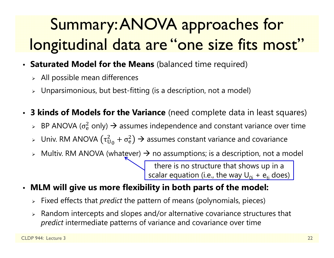## Summary: ANOVA approaches for longitudinal data are "one size fits most"

- **Saturated Model for the Means** (balanced time required)
	- $\triangleright$  All possible mean differences
	- $\triangleright$  Unparsimonious, but best-fitting (is a description, not a model)
- $\bullet$  **3 kinds of Models for the Variance** (need complete data in least squares)
	- $\triangleright$  BP ANOVA ( $\sigma_{\rm e}^2$  $_{{\rm e}}^2$  only)  $\bm{\rightarrow}$  assumes independence and constant variance over time
	- $\triangleright$   $\,$  Univ. RM ANOVA ( $\tau^2_{\rm U}$  $_{\rm U_0}^2 + \sigma_{\rm e}^2$  $_0^2$ )  $\rightarrow$  assumes constant variance and covariance
	- $\triangleright$  Multiv. RM ANOVA (whatever)  $\rightarrow$  no assumptions; is a description, not a model

there is no structure that shows up in a scalar equation (i.e., the way  $\sf{U}_{0i}$  +  $\sf{e}_{\sf{ti}}$  does)  $\sf{}$ 

- • **MLM will give us more flexibility in both parts of the model:**
	- Fixed effects that *predict* the pattern of means (polynomials, pieces)
	- $\triangleright$  Random intercepts and slopes and/or alternative covariance structures that *predict* intermediate patterns of variance and covariance over time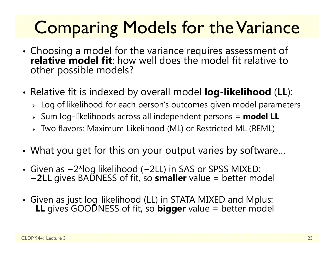## Comparing Models for the Variance

- Choosing a model for the variance requires assessment of **The variance requires assessment of the variance requires assessment of relative to** other possible models?
- • Relative fit is indexed by overall model **log-likelihood** (**LL**):
	- $\triangleright\;$  Log of likelihood for each person's outcomes given model parameters
	- Sum log-likelihoods across all independent persons = **model LL**
	- Two flavors: Maximum Likelihood (ML) or Restricted ML (REML)
- •What you get for this on your output varies by software…
- Given as −2\*log likelihood (−2LL) in SAS or SPSS MIXED: **<sup>−</sup>2LL** gives BADNESS of fit, so **smaller** value = better model
- Given as just log-likelihood (LL) in STATA MIXED and Mplus: **LL** gives GOODNESS of fit, so **bigger** value = better model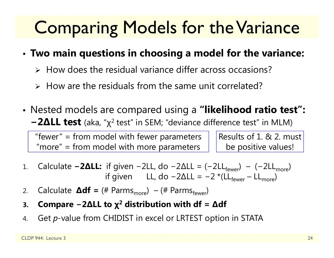## Comparing Models for the Variance

#### •**Two main questions in choosing a model for the variance:**

- $\triangleright$  How does the residual variance differ across occasions?
- $\triangleright$  How are the residuals from the same unit correlated?
- Nested models are compared using a **"likelihood ratio test":**   $-2$ ΔLL test (aka, "χ<sup>2</sup> test" in SEM; "deviance difference test" in MLM)

"fewer" = from model with fewer parameters "more" = from model with more parameters

Results of 1. & 2. must be positive values!

- 1.. Calculate **−2ΔLL:** if given −2LL, do −2ΔLL = (−2LL<sub>fewer</sub>) − (−2LL<sub>more</sub>) if given LL, do −2ΔLL = −2 \*(LL<sub>fewer</sub> – LL<sub>more</sub>)
- 2.. Calculate **∆df** = (# Parms<sub>more</sub>) – (# Parms<sub>fewer</sub>)
- **3.Compare − 2 ∆LL to χ 2 distribution with df <sup>=</sup> ∆df**
- 4.Get *p*-value from CHIDIST in excel or LRTEST option in STATA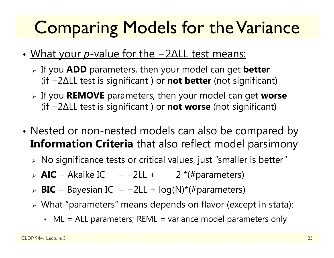## Comparing Models for the Variance

- • What your *p*-value for the − 2 ∆LL test means:
	- If you **ADD** parameters, then your model can get **better** (if − 2 ∆LL test is significant ) or **not better** (not significant)
	- If you **REMOVE** parameters, then your model can get **worse** (if − 2 ∆LL test is significant ) or **not worse** (not significant)
- • Nested or non-nested models can also be compared by **Information Criteria** that also reflect model parsimony
	- $\triangleright$  No significance tests or critical values, just "smaller is better"
	- > **AIC** = Akaike IC = -2LL + 2 <sup>\*</sup>(#parameters)
	- > **BIC** = Bayesian IC = -2LL + log(N)\*(#parameters)
	- What "parameters" means depends on flavor (except in stata):
		- ML = ALL parameters; REML = variance model parameters only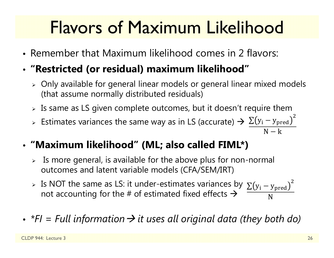## Flavors of Maximum Likelihood

- Remember that Maximum likelihood comes in 2 flavors:
- **"Restricted (or residual) maximum likelihood"**
	- $\triangleright$  Only available for general linear models or general linear mixed models (that assume normally distributed residuals)
	- $\triangleright$  Is same as LS given complete outcomes, but it doesn't require them
	- > Estimates variances the same way as in LS (accurate)  $\rightarrow \frac{\sum (y_i y_{pred})}{\sum (y_i y_{pred})}$  $\overline{c}$  $\overline{N-k}$
- **"Maximum likelihood" (ML; also called FIML\*)**
	- $\triangleright$  Is more general, is available for the above plus for non-normal outcomes and latent variable models (CFA/SEM/IRT)
	- > Is NOT the same as LS: it under-estimates variances by  $\sum(y_i y_{\rm pred})$ not accounting for the # of estimated fixed effects  $\bm{\rightarrow}$ ଶ N
- *\*FI = Full information it uses all original data (they both do)*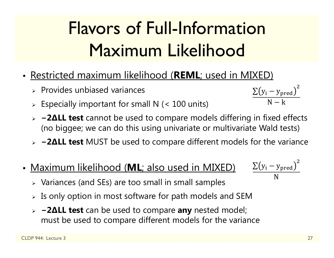## Flavors of Full-Information Maximum Likelihood

- Restricted maximum likelihood (**REML**; used in MIXED)
	- $\triangleright$  Provides unbiased variances
	- $\triangleright$  Especially important for small N (< 100 units)
	- **− 2 ∆LL test** cannot be used to compare models differing in fixed effects (no biggee; we can do this using univariate or multivariate Wald tests)
	- **− 2 ∆LL test** MUST be used to compare different models for the variance
- Maximum likelihood (**ML**; also used in MIXED)
	- $\triangleright$  Variances (and SEs) are too small in small samples
	- $\triangleright$  Is only option in most software for path models and SEM
	- **− 2 ∆LL test** can be used to compare **any** nested model; must be used to compare different models for the variance



 $\rm \Sigma(y_{i}-y_{pred}$  $\overline{c}$  $\mathsf{N}-\mathsf{k}$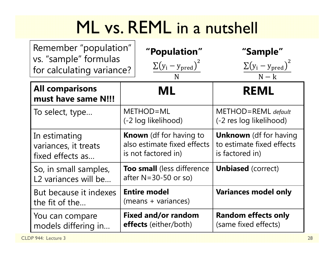## ML vs. REML in a nutshell

| Remember "population"<br>vs. "sample" formulas<br>for calculating variance? |                                                                                      | 'Population"<br>$\sum(y_i - y_{pred})^2$<br>N | "Sample"<br>$\sum(y_i - y_{pred})^2$<br>$N - k$                               |
|-----------------------------------------------------------------------------|--------------------------------------------------------------------------------------|-----------------------------------------------|-------------------------------------------------------------------------------|
| <b>All comparisons</b><br>must have same N!!!                               | ML                                                                                   |                                               | <b>REML</b>                                                                   |
| To select, type                                                             | METHOD=ML<br>(-2 log likelihood)                                                     |                                               | $METHOD = REML$ default<br>(-2 res log likelihood)                            |
| In estimating<br>variances, it treats<br>fixed effects as                   | <b>Known</b> (df for having to<br>also estimate fixed effects<br>is not factored in) |                                               | <b>Unknown</b> (df for having<br>to estimate fixed effects<br>is factored in) |
| So, in small samples,<br>L2 variances will be                               | <b>Too small</b> (less difference<br>after $N = 30 - 50$ or so)                      |                                               | <b>Unbiased</b> (correct)                                                     |
| But because it indexes<br>the fit of the                                    | <b>Entire model</b><br>(means + variances)                                           |                                               | <b>Variances model only</b>                                                   |
| You can compare<br>models differing in                                      | <b>Fixed and/or random</b><br><b>effects</b> (either/both)                           |                                               | <b>Random effects only</b><br>(same fixed effects)                            |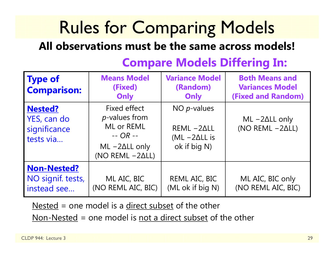## Rules for Comparing Models

### **All observations must be the same across models!**

#### **Type of Comparison: Means Model (Fixed) Only Variance Model (Random) Only Both Means and Variances Model (Fixed and Random) Nested?**YES, can do significance tests via…Fixed effect *p*-values from ML or REML -- *OR --* ML −2∆LL only (NO REML −2∆LL) NO *p*-values REML −2∆LL(ML − 2 ∆LL is ok if big N) ML −2∆LL only (NO REML −2∆LL) **Non-Nested?** NO signif. tests, instead see… ML AIC, BIC (NO REML AIC, BIC) REML AIC, BIC (ML ok if big N) ML AIC, BIC only (NO REML AIC, BIC)

### **Compare Models Differing In:**

Nested = one model is a direct subset of the other

 $Non-Nested = one model is not a direct subset of the other$